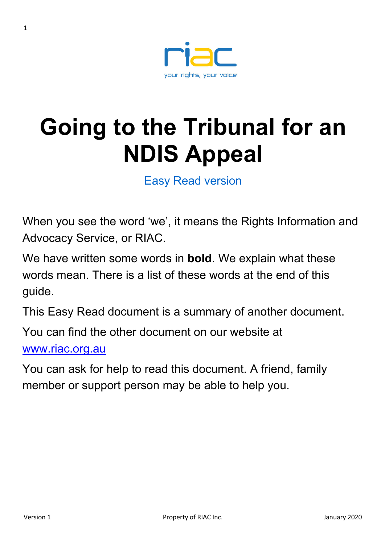

# **Going to the Tribunal for an NDIS Appeal**

Easy Read version

When you see the word 'we', it means the Rights Information and Advocacy Service, or RIAC.

We have written some words in **bold**. We explain what these words mean. There is a list of these words at the end of this guide.

This Easy Read document is a summary of another document.

You can find the other document on our website at

www.riac.org.au

You can ask for help to read this document. A friend, family member or support person may be able to help you.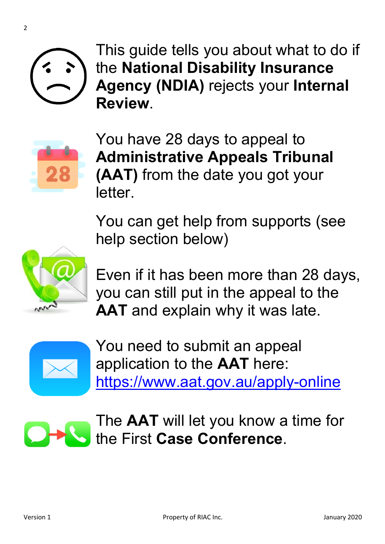

2





You have 28 days to appeal to **Administrative Appeals Tribunal (AAT)** from the date you got your letter.

You can get help from supports (see help section below)



Even if it has been more than 28 days, you can still put in the appeal to the **AAT** and explain why it was late.



You need to submit an appeal application to the **AAT** here: https://www.aat.gov.au/apply-online



The **AAT** will let you know a time for the First **Case Conference**.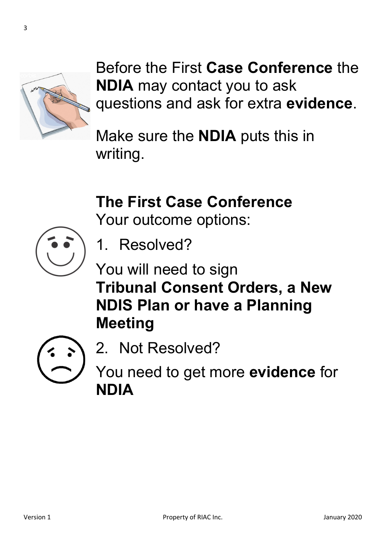

Before the First **Case Conference** the **NDIA** may contact you to ask questions and ask for extra **evidence**.

Make sure the **NDIA** puts this in writing.

# **The First Case Conference**

Your outcome options:



- 1. Resolved?
- You will need to sign **Tribunal Consent Orders, a New NDIS Plan or have a Planning Meeting**



2. Not Resolved?

You need to get more **evidence** for **NDIA**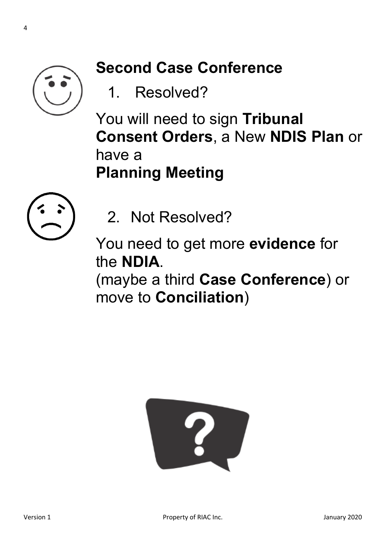

# **Second Case Conference**

1. Resolved?

You will need to sign **Tribunal Consent Orders**, a New **NDIS Plan** or have a **Planning Meeting**



2. Not Resolved?

You need to get more **evidence** for the **NDIA**.

(maybe a third **Case Conference**) or move to **Conciliation**)

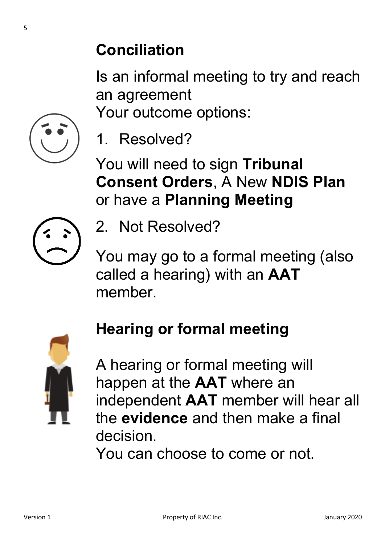### **Conciliation**

Is an informal meeting to try and reach an agreement

Your outcome options:



1. Resolved?

You will need to sign **Tribunal Consent Orders**, A New **NDIS Plan** or have a **Planning Meeting**



2. Not Resolved?

You may go to a formal meeting (also called a hearing) with an **AAT** member.

# **Hearing or formal meeting**

A hearing or formal meeting will happen at the **AAT** where an independent **AAT** member will hear all the **evidence** and then make a final decision.

You can choose to come or not.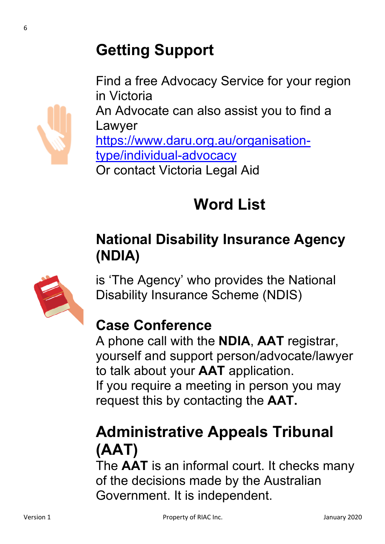

Find a free Advocacy Service for your region in Victoria An Advocate can also assist you to find a Lawyer https://www.daru.org.au/organisationtype/individual-advocacy Or contact Victoria Legal Aid

# **Word List**

### **National Disability Insurance Agency (NDIA)**



is 'The Agency' who provides the National Disability Insurance Scheme (NDIS)

# **Case Conference**

A phone call with the **NDIA**, **AAT** registrar, yourself and support person/advocate/lawyer to talk about your **AAT** application. If you require a meeting in person you may request this by contacting the **AAT.**

# **Administrative Appeals Tribunal (AAT)**

The **AAT** is an informal court. It checks many of the decisions made by the Australian Government. It is independent.